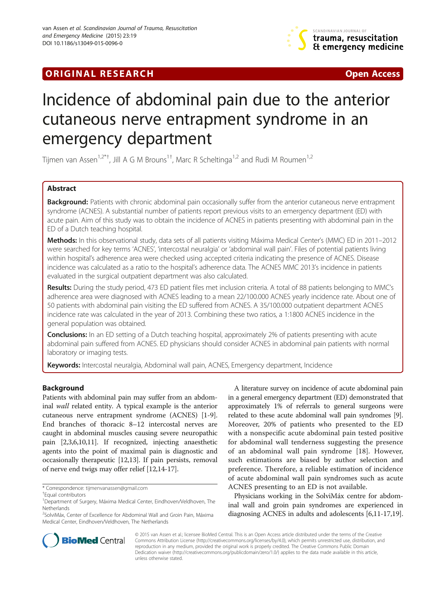# **ORIGINAL RESEARCH CONFIDENTIAL CONSUMING A LIGHT CONFIDENTIAL CONSUMING A LIGHT CONFIDENTIAL CONFIDENTIAL CONSU**



# Incidence of abdominal pain due to the anterior cutaneous nerve entrapment syndrome in an emergency department

Tijmen van Assen<sup>1,2\*†</sup>, Jill A G M Brouns<sup>1†</sup>, Marc R Scheltinga<sup>1,2</sup> and Rudi M Roumen<sup>1,2</sup>

# Abstract

Background: Patients with chronic abdominal pain occasionally suffer from the anterior cutaneous nerve entrapment syndrome (ACNES). A substantial number of patients report previous visits to an emergency department (ED) with acute pain. Aim of this study was to obtain the incidence of ACNES in patients presenting with abdominal pain in the ED of a Dutch teaching hospital.

Methods: In this observational study, data sets of all patients visiting Máxima Medical Center's (MMC) ED in 2011–2012 were searched for key terms 'ACNES', 'intercostal neuralgia' or 'abdominal wall pain'. Files of potential patients living within hospital's adherence area were checked using accepted criteria indicating the presence of ACNES. Disease incidence was calculated as a ratio to the hospital's adherence data. The ACNES MMC 2013's incidence in patients evaluated in the surgical outpatient department was also calculated.

Results: During the study period, 473 ED patient files met inclusion criteria. A total of 88 patients belonging to MMC's adherence area were diagnosed with ACNES leading to a mean 22/100.000 ACNES yearly incidence rate. About one of 50 patients with abdominal pain visiting the ED suffered from ACNES. A 35/100.000 outpatient department ACNES incidence rate was calculated in the year of 2013. Combining these two ratios, a 1:1800 ACNES incidence in the general population was obtained.

**Conclusions:** In an ED setting of a Dutch teaching hospital, approximately 2% of patients presenting with acute abdominal pain suffered from ACNES. ED physicians should consider ACNES in abdominal pain patients with normal laboratory or imaging tests.

Keywords: Intercostal neuralgia, Abdominal wall pain, ACNES, Emergency department, Incidence

# Background

Patients with abdominal pain may suffer from an abdominal wall related entity. A typical example is the anterior cutaneous nerve entrapment syndrome (ACNES) [\[1](#page-5-0)-[9](#page-5-0)]. End branches of thoracic 8–12 intercostal nerves are caught in abdominal muscles causing severe neuropathic pain [\[2,3,6,10,11](#page-5-0)]. If recognized, injecting anaesthetic agents into the point of maximal pain is diagnostic and occasionally therapeutic [[12](#page-5-0),[13](#page-5-0)]. If pain persists, removal of nerve end twigs may offer relief [[12](#page-5-0),[14](#page-5-0)-[17](#page-5-0)].

A literature survey on incidence of acute abdominal pain in a general emergency department (ED) demonstrated that approximately 1% of referrals to general surgeons were related to these acute abdominal wall pain syndromes [[9](#page-5-0)]. Moreover, 20% of patients who presented to the ED with a nonspecific acute abdominal pain tested positive for abdominal wall tenderness suggesting the presence of an abdominal wall pain syndrome [[18\]](#page-5-0). However, such estimations are biased by author selection and preference. Therefore, a reliable estimation of incidence of acute abdominal wall pain syndromes such as acute ACNES presenting to an ED is not available.

Physicians working in the SolviMáx centre for abdominal wall and groin pain syndromes are experienced in diagnosing ACNES in adults and adolescents [\[6,11-17,19](#page-5-0)].



© 2015 van Assen et al.; licensee BioMed Central. This is an Open Access article distributed under the terms of the Creative Commons Attribution License [\(http://creativecommons.org/licenses/by/4.0\)](http://creativecommons.org/licenses/by/4.0), which permits unrestricted use, distribution, and reproduction in any medium, provided the original work is properly credited. The Creative Commons Public Domain Dedication waiver [\(http://creativecommons.org/publicdomain/zero/1.0/](http://creativecommons.org/publicdomain/zero/1.0/)) applies to the data made available in this article, unless otherwise stated.

<sup>\*</sup> Correspondence: [tijmenvanassen@gmail.com](mailto:tijmenvanassen@gmail.com) †

Equal contributors

<sup>&</sup>lt;sup>1</sup>Department of Surgery, Máxima Medical Center, Eindhoven/Veldhoven, The Netherlands

<sup>&</sup>lt;sup>2</sup>SolviMáx, Center of Excellence for Abdominal Wall and Groin Pain, Máxima Medical Center, Eindhoven/Veldhoven, The Netherlands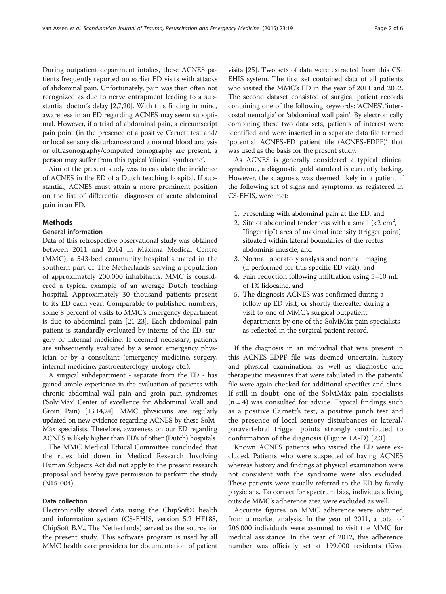During outpatient department intakes, these ACNES patients frequently reported on earlier ED visits with attacks of abdominal pain. Unfortunately, pain was then often not recognized as due to nerve entrapment leading to a substantial doctor's delay [[2](#page-5-0),[7,20](#page-5-0)]. With this finding in mind, awareness in an ED regarding ACNES may seem suboptimal. However, if a triad of abdominal pain, a circumscript pain point (in the presence of a positive Carnett test and/ or local sensory disturbances) and a normal blood analysis or ultrasonography/computed tomography are present, a person may suffer from this typical 'clinical syndrome'.

Aim of the present study was to calculate the incidence of ACNES in the ED of a Dutch teaching hospital. If substantial, ACNES must attain a more prominent position on the list of differential diagnoses of acute abdominal pain in an ED.

### **Methods**

#### General information

Data of this retrospective observational study was obtained between 2011 and 2014 in Máxima Medical Centre (MMC), a 543-bed community hospital situated in the southern part of The Netherlands serving a population of approximately 200.000 inhabitants. MMC is considered a typical example of an average Dutch teaching hospital. Approximately 30 thousand patients present to its ED each year. Comparable to published numbers, some 8 percent of visits to MMC's emergency department is due to abdominal pain [\[21](#page-5-0)-[23](#page-5-0)]. Each abdominal pain patient is standardly evaluated by interns of the ED, surgery or internal medicine. If deemed necessary, patients are subsequently evaluated by a senior emergency physician or by a consultant (emergency medicine, surgery, internal medicine, gastroenterology, urology etc.).

A surgical subdepartment - separate from the ED - has gained ample experience in the evaluation of patients with chronic abdominal wall pain and groin pain syndromes ('SolviMáx' Center of excellence for Abdominal Wall and Groin Pain) [\[13,14,24](#page-5-0)]. MMC physicians are regularly updated on new evidence regarding ACNES by these Solvi-Máx specialists. Therefore, awareness on our ED regarding ACNES is likely higher than ED's of other (Dutch) hospitals.

The MMC Medical Ethical Committee concluded that the rules laid down in Medical Research Involving Human Subjects Act did not apply to the present research proposal and hereby gave permission to perform the study (N15-004).

#### Data collection

Electronically stored data using the ChipSoft© health and information system (CS-EHIS, version 5.2 HF188, ChipSoft B.V., The Netherlands) served as the source for the present study. This software program is used by all MMC health care providers for documentation of patient visits [\[25\]](#page-5-0). Two sets of data were extracted from this CS-EHIS system. The first set contained data of all patients who visited the MMC's ED in the year of 2011 and 2012. The second dataset consisted of surgical patient records containing one of the following keywords: 'ACNES', 'intercostal neuralgia' or 'abdominal wall pain'. By electronically combining these two data sets, patients of interest were identified and were inserted in a separate data file termed 'potential ACNES-ED patient file (ACNES-EDPF)' that was used as the basis for the present study.

As ACNES is generally considered a typical clinical syndrome, a diagnostic gold standard is currently lacking. However, the diagnosis was deemed likely in a patient if the following set of signs and symptoms, as registered in CS-EHIS, were met:

- 1. Presenting with abdominal pain at the ED, and
- 2. Site of abdominal tenderness with a small  $\left($  < 2 cm<sup>2</sup>, "finger tip") area of maximal intensity (trigger point) situated within lateral boundaries of the rectus abdominis muscle, and
- 3. Normal laboratory analysis and normal imaging (if performed for this specific ED visit), and
- 4. Pain reduction following infiltration using 5–10 mL of 1% lidocaine, and
- 5. The diagnosis ACNES was confirmed during a follow up ED visit, or shortly thereafter during a visit to one of MMC's surgical outpatient departments by one of the SolviMáx pain specialists as reflected in the surgical patient record.

If the diagnosis in an individual that was present in this ACNES-EDPF file was deemed uncertain, history and physical examination, as well as diagnostic and therapeutic measures that were tabulated in the patients' file were again checked for additional specifics and clues. If still in doubt, one of the SolviMáx pain specialists  $(n = 4)$  was consulted for advice. Typical findings such as a positive Carnett's test, a positive pinch test and the presence of local sensory disturbances or lateral/ paravertebral trigger points strongly contributed to confirmation of the diagnosis (Figure [1A](#page-2-0)-D) [[2,3](#page-5-0)].

Known ACNES patients who visited the ED were excluded. Patients who were suspected of having ACNES whereas history and findings at physical examination were not consistent with the syndrome were also excluded. These patients were usually referred to the ED by family physicians. To correct for spectrum bias, individuals living outside MMC's adherence area were excluded as well.

Accurate figures on MMC adherence were obtained from a market analysis. In the year of 2011, a total of 206.000 individuals were assumed to visit the MMC for medical assistance. In the year of 2012, this adherence number was officially set at 199.000 residents (Kiwa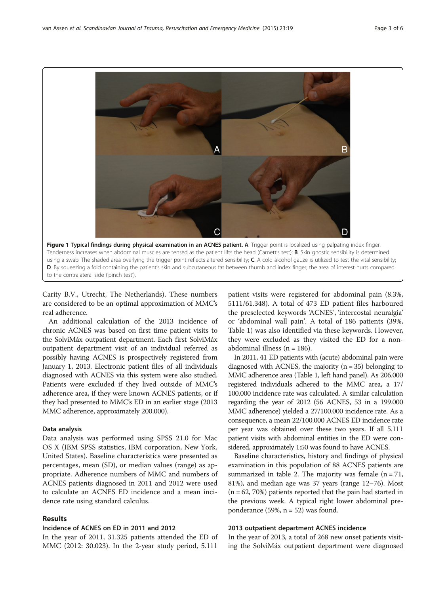<span id="page-2-0"></span>

Carity B.V., Utrecht, The Netherlands). These numbers are considered to be an optimal approximation of MMC's real adherence.

An additional calculation of the 2013 incidence of chronic ACNES was based on first time patient visits to the SolviMáx outpatient department. Each first SolviMáx outpatient department visit of an individual referred as possibly having ACNES is prospectively registered from January 1, 2013. Electronic patient files of all individuals diagnosed with ACNES via this system were also studied. Patients were excluded if they lived outside of MMC's adherence area, if they were known ACNES patients, or if they had presented to MMC's ED in an earlier stage (2013 MMC adherence, approximately 200.000).

#### Data analysis

Data analysis was performed using SPSS 21.0 for Mac OS X (IBM SPSS statistics, IBM corporation, New York, United States). Baseline characteristics were presented as percentages, mean (SD), or median values (range) as appropriate. Adherence numbers of MMC and numbers of ACNES patients diagnosed in 2011 and 2012 were used to calculate an ACNES ED incidence and a mean incidence rate using standard calculus.

#### Results

#### Incidence of ACNES on ED in 2011 and 2012

In the year of 2011, 31.325 patients attended the ED of MMC (2012: 30.023). In the 2-year study period, 5.111

patient visits were registered for abdominal pain (8.3%, 5111/61.348). A total of 473 ED patient files harboured the preselected keywords 'ACNES', 'intercostal neuralgia' or 'abdominal wall pain'. A total of 186 patients (39%, Table [1\)](#page-3-0) was also identified via these keywords. However, they were excluded as they visited the ED for a nonabdominal illness ( $n = 186$ ).

In 2011, 41 ED patients with (acute) abdominal pain were diagnosed with ACNES, the majority  $(n = 35)$  belonging to MMC adherence area (Table [1,](#page-3-0) left hand panel). As 206.000 registered individuals adhered to the MMC area, a 17/ 100.000 incidence rate was calculated. A similar calculation regarding the year of 2012 (56 ACNES, 53 in a 199.000 MMC adherence) yielded a 27/100.000 incidence rate. As a consequence, a mean 22/100.000 ACNES ED incidence rate per year was obtained over these two years. If all 5.111 patient visits with abdominal entities in the ED were considered, approximately 1:50 was found to have ACNES.

Baseline characteristics, history and findings of physical examination in this population of 88 ACNES patients are summarized in table [2](#page-3-0). The majority was female  $(n = 71,$ 81%), and median age was 37 years (range 12–76). Most  $(n = 62, 70%)$  patients reported that the pain had started in the previous week. A typical right lower abdominal preponderance  $(59\%, n = 52)$  was found.

#### 2013 outpatient department ACNES incidence

In the year of 2013, a total of 268 new onset patients visiting the SolviMáx outpatient department were diagnosed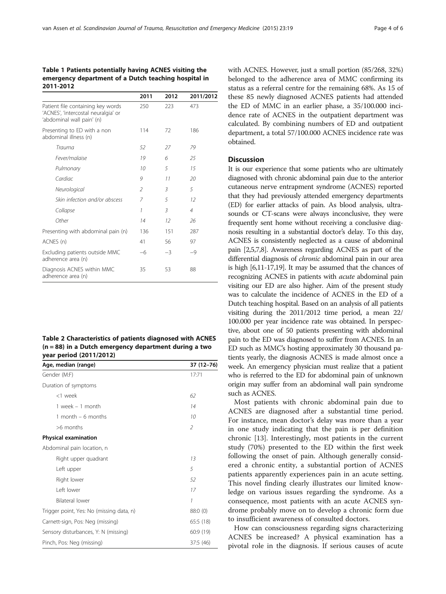#### <span id="page-3-0"></span>Table 1 Patients potentially having ACNES visiting the emergency department of a Dutch teaching hospital in 2011-2012

|                                                                                                       | 2011                     | 2012 | 2011/2012      |
|-------------------------------------------------------------------------------------------------------|--------------------------|------|----------------|
| Patient file containing key words<br>'ACNES', 'intercostal neuralgia' or<br>'abdominal wall pain' (n) | 250                      | 223  | 473            |
| Presenting to ED with a non<br>abdominal illness (n)                                                  | 114                      | 72   | 186            |
| Trauma                                                                                                | 52                       | 27   | 79             |
| Fever/malaise                                                                                         | 19                       | 6    | 25             |
| Pulmonary                                                                                             | 10                       | 5    | 15             |
| Cardiac                                                                                               | 9                        | 11   | 20             |
| Neurological                                                                                          | $\overline{\phantom{a}}$ | 3    | 5              |
| Skin infection and/or abscess                                                                         | $\overline{7}$           | 5    | $12^{1}$       |
| Collapse                                                                                              | 1                        | 3    | $\overline{4}$ |
| Other                                                                                                 | 14                       | 12   | 26             |
| Presenting with abdominal pain (n)                                                                    | 136                      | 151  | 287            |
| ACNES (n)                                                                                             | 41                       | 56   | 97             |
| Excluding patients outside MMC<br>adherence area (n)                                                  | $-6$                     | $-3$ | $-9$           |
| Diagnosis ACNES within MMC<br>adherence area (n)                                                      | 35                       | 53   | 88             |

| Table 2 Characteristics of patients diagnosed with ACNES |  |
|----------------------------------------------------------|--|
| $(n = 88)$ in a Dutch emergency department during a two  |  |
| year period (2011/2012)                                  |  |

| Age, median (range)                      | 37 (12-76) |
|------------------------------------------|------------|
| Gender (M:F)                             | 17:71      |
| Duration of symptoms                     |            |
| <1 week                                  | 62         |
| 1 week $-$ 1 month                       | 14         |
| 1 month $-6$ months                      | 10         |
| >6 months                                | 2          |
| <b>Physical examination</b>              |            |
| Abdominal pain location, n               |            |
| Right upper quadrant                     | 13         |
| Left upper                               | 5          |
| Right lower                              | 52         |
| Left lower                               | 17         |
| <b>Bilateral lower</b>                   | 1          |
| Trigger point, Yes: No (missing data, n) | 88:0(0)    |
| Carnett-sign, Pos: Neg (missing)         | 65:5 (18)  |
| Sensory disturbances, Y: N (missing)     | 60:9 (19)  |
| Pinch, Pos: Neg (missing)                | 37:5 (46)  |

with ACNES. However, just a small portion (85/268, 32%) belonged to the adherence area of MMC confirming its status as a referral centre for the remaining 68%. As 15 of these 85 newly diagnosed ACNES patients had attended the ED of MMC in an earlier phase, a 35/100.000 incidence rate of ACNES in the outpatient department was calculated. By combining numbers of ED and outpatient department, a total 57/100.000 ACNES incidence rate was obtained.

#### **Discussion**

It is our experience that some patients who are ultimately diagnosed with chronic abdominal pain due to the anterior cutaneous nerve entrapment syndrome (ACNES) reported that they had previously attended emergency departments (ED) for earlier attacks of pain. As blood analysis, ultrasounds or CT-scans were always inconclusive, they were frequently sent home without receiving a conclusive diagnosis resulting in a substantial doctor's delay. To this day, ACNES is consistently neglected as a cause of abdominal pain [\[2,5,7,8](#page-5-0)]. Awareness regarding ACNES as part of the differential diagnosis of chronic abdominal pain in our area is high [\[6,11-17,19](#page-5-0)]. It may be assumed that the chances of recognizing ACNES in patients with acute abdominal pain visiting our ED are also higher. Aim of the present study was to calculate the incidence of ACNES in the ED of a Dutch teaching hospital. Based on an analysis of all patients visiting during the 2011/2012 time period, a mean 22/ 100.000 per year incidence rate was obtained. In perspective, about one of 50 patients presenting with abdominal pain to the ED was diagnosed to suffer from ACNES. In an ED such as MMC's hosting approximately 30 thousand patients yearly, the diagnosis ACNES is made almost once a week. An emergency physician must realize that a patient who is referred to the ED for abdominal pain of unknown origin may suffer from an abdominal wall pain syndrome such as ACNES.

Most patients with chronic abdominal pain due to ACNES are diagnosed after a substantial time period. For instance, mean doctor's delay was more than a year in one study indicating that the pain is per definition chronic [[13\]](#page-5-0). Interestingly, most patients in the current study (70%) presented to the ED within the first week following the onset of pain. Although generally considered a chronic entity, a substantial portion of ACNES patients apparently experiences pain in an acute setting. This novel finding clearly illustrates our limited knowledge on various issues regarding the syndrome. As a consequence, most patients with an acute ACNES syndrome probably move on to develop a chronic form due to insufficient awareness of consulted doctors.

How can consciousness regarding signs characterizing ACNES be increased? A physical examination has a pivotal role in the diagnosis. If serious causes of acute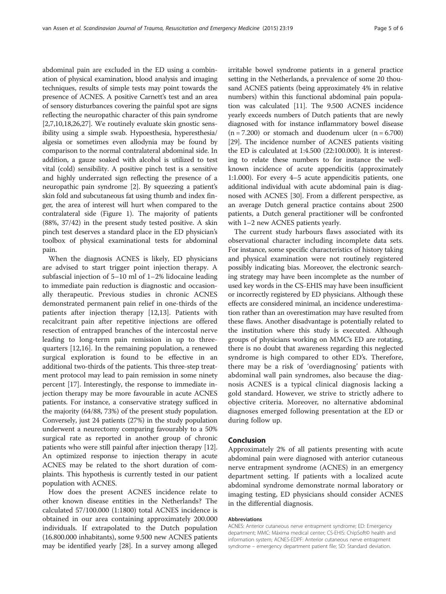abdominal pain are excluded in the ED using a combination of physical examination, blood analysis and imaging techniques, results of simple tests may point towards the presence of ACNES. A positive Carnett's test and an area of sensory disturbances covering the painful spot are signs reflecting the neuropathic character of this pain syndrome [[2,7](#page-5-0),[10,18,26,27](#page-5-0)]. We routinely evaluate skin gnostic sensibility using a simple swab. Hypoesthesia, hyperesthesia/ algesia or sometimes even allodynia may be found by comparison to the normal contralateral abdominal side. In addition, a gauze soaked with alcohol is utilized to test vital (cold) sensibility. A positive pinch test is a sensitive and highly underrated sign reflecting the presence of a neuropathic pain syndrome [\[2](#page-5-0)]. By squeezing a patient's skin fold and subcutaneous fat using thumb and index finger, the area of interest will hurt when compared to the contralateral side (Figure [1](#page-2-0)). The majority of patients (88%, 37/42) in the present study tested positive. A skin pinch test deserves a standard place in the ED physician's toolbox of physical examinational tests for abdominal pain.

When the diagnosis ACNES is likely, ED physicians are advised to start trigger point injection therapy. A subfascial injection of 5–10 ml of 1–2% lidocaine leading to immediate pain reduction is diagnostic and occasionally therapeutic. Previous studies in chronic ACNES demonstrated permanent pain relief in one-thirds of the patients after injection therapy [[12,13\]](#page-5-0). Patients with recalcitrant pain after repetitive injections are offered resection of entrapped branches of the intercostal nerve leading to long-term pain remission in up to threequarters [[12](#page-5-0),[16](#page-5-0)]. In the remaining population, a renewed surgical exploration is found to be effective in an additional two-thirds of the patients. This three-step treatment protocol may lead to pain remission in some ninety percent [\[17](#page-5-0)]. Interestingly, the response to immediate injection therapy may be more favourable in acute ACNES patients. For instance, a conservative strategy sufficed in the majority (64/88, 73%) of the present study population. Conversely, just 24 patients (27%) in the study population underwent a neurectomy comparing favourably to a 50% surgical rate as reported in another group of chronic patients who were still painful after injection therapy [[12](#page-5-0)]. An optimized response to injection therapy in acute ACNES may be related to the short duration of complaints. This hypothesis is currently tested in our patient population with ACNES.

How does the present ACNES incidence relate to other known disease entities in the Netherlands? The calculated 57/100.000 (1:1800) total ACNES incidence is obtained in our area containing approximately 200.000 individuals. If extrapolated to the Dutch population (16.800.000 inhabitants), some 9.500 new ACNES patients may be identified yearly [\[28\]](#page-5-0). In a survey among alleged irritable bowel syndrome patients in a general practice setting in the Netherlands, a prevalence of some 20 thousand ACNES patients (being approximately 4% in relative numbers) within this functional abdominal pain population was calculated [\[11\]](#page-5-0). The 9.500 ACNES incidence yearly exceeds numbers of Dutch patients that are newly diagnosed with for instance inflammatory bowel disease  $(n = 7.200)$  or stomach and duodenum ulcer  $(n = 6.700)$ [[29](#page-5-0)]. The incidence number of ACNES patients visiting the ED is calculated at 1:4.500 (22:100.000). It is interesting to relate these numbers to for instance the wellknown incidence of acute appendicitis (approximately 1:1.000). For every 4–5 acute appendicitis patients, one additional individual with acute abdominal pain is diagnosed with ACNES [[30](#page-5-0)]. From a different perspective, as an average Dutch general practice contains about 2500 patients, a Dutch general practitioner will be confronted with 1–2 new ACNES patients yearly.

The current study harbours flaws associated with its observational character including incomplete data sets. For instance, some specific characteristics of history taking and physical examination were not routinely registered possibly indicating bias. Moreover, the electronic searching strategy may have been incomplete as the number of used key words in the CS-EHIS may have been insufficient or incorrectly registered by ED physicians. Although these effects are considered minimal, an incidence underestimation rather than an overestimation may have resulted from these flaws. Another disadvantage is potentially related to the institution where this study is executed. Although groups of physicians working on MMC's ED are rotating, there is no doubt that awareness regarding this neglected syndrome is high compared to other ED's. Therefore, there may be a risk of 'overdiagnosing' patients with abdominal wall pain syndromes, also because the diagnosis ACNES is a typical clinical diagnosis lacking a gold standard. However, we strive to strictly adhere to objective criteria. Moreover, no alternative abdominal diagnoses emerged following presentation at the ED or during follow up.

#### Conclusion

Approximately 2% of all patients presenting with acute abdominal pain were diagnosed with anterior cutaneous nerve entrapment syndrome (ACNES) in an emergency department setting. If patients with a localized acute abdominal syndrome demonstrate normal laboratory or imaging testing, ED physicians should consider ACNES in the differential diagnosis.

#### Abbreviations

ACNES: Anterior cutaneous nerve entrapment syndrome; ED: Emergency department; MMC: Máxima medical center; CS-EHIS: ChipSoft© health and information system; ACNES-EDPF: Anterior cutaneous nerve entrapment syndrome – emergency department patient file; SD: Standard deviation.